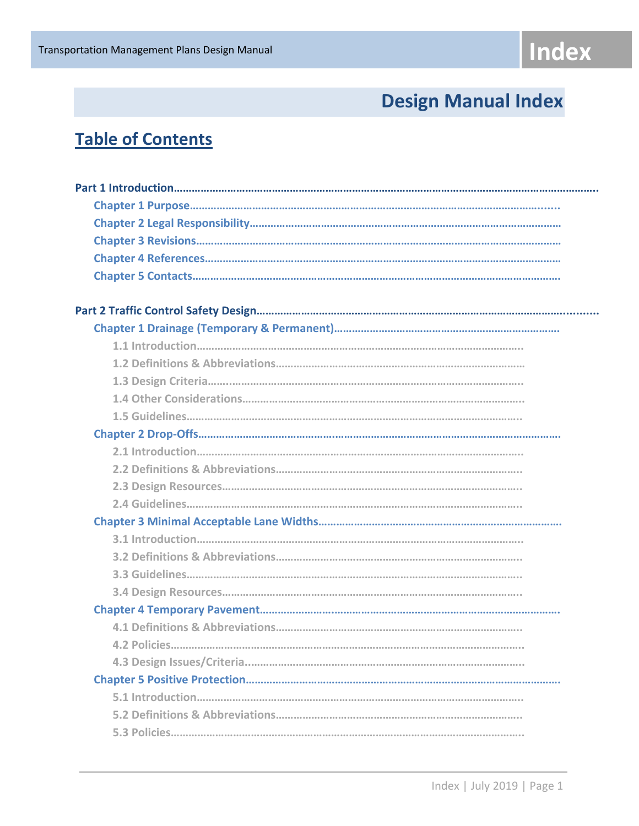# **Design Manual Index**

## **Table of Contents**